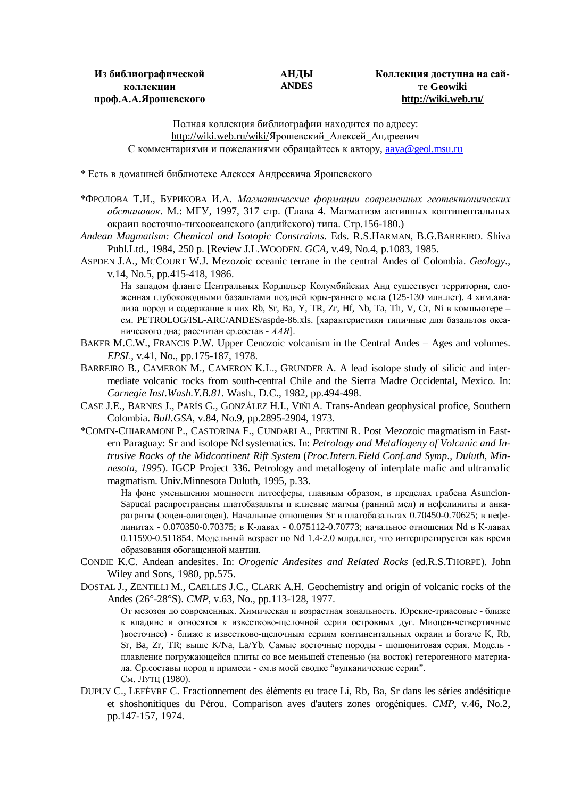## **АНДЫ ANDES**

## **Коллекция доступна на сайте Geowiki <http://wiki.web.ru/>**

Полная коллекция библиографии находится по адресу: <http://wiki.web.ru/wiki/>Ярошевский\_Алексей\_Андреевич С комментариями и пожеланиями обращайтесь к автору, [aaya@geol.msu.ru](mailto:aaya@geol.msu.ru)

\* Есть в домашней библиотеке Алексея Андреевича Ярошевского

\*ФРОЛОВА Т.И., БУРИКОВА И.А. *Магматические формации современных геотектонических обстановок*. М.: МГУ, 1997, 317 стр. (Глава 4. Магматизм активных континентальных окраин восточно-тихоокеанского (андийского) типа. Стр.156-180.)

*Andean Magmatism: Chemical and Isotopic Constraints*. Eds. R.S.HARMAN, B.G.BARREIRO. Shiva Publ.Ltd., 1984, 250 p. [Review J.L.WOODEN. *GCA*, v.49, No.4, p.1083, 1985.

ASPDEN J.A., MCCOURT W.J. Mezozoic oceanic terrane in the central Andes of Colombia. *Geology*., v.14, No.5, pp.415-418, 1986.

На западом фланге Центральных Кордильер Колумбийских Анд существует территория, сложенная глубоководными базальтами поздней юры-раннего мела (125-130 млн.лет). 4 хим.анализа пород и содержание в них Rb, Sr, Ba, Y, TR, Zr, Hf, Nb, Ta, Th, V, Cr, Ni в компьютере – см. PETROLOG/ISL-ARC/ANDES/aspde-86.xls. [характеристики типичные для базальтов океанического дна; рассчитан ср.состав - *ААЯ*].

- BAKER M.C.W., FRANCIS P.W. Upper Cenozoic volcanism in the Central Andes Ages and volumes. *EPSL*, v.41, No., pp.175-187, 1978.
- BARREIRO B., CAMERON M., CAMERON K.L., GRUNDER A. A lead isotope study of silicic and intermediate volcanic rocks from south-central Chile and the Sierra Madre Occidental, Mexico. In: *Carnegie Inst.Wash.Y.B.81*. Wash., D.C., 1982, pp.494-498.
- CASE J.E., BARNES J., PARÍS G., GONZÁLEZ H.I., VIŇI A. Trans-Andean geophysical profice, Southern Colombia. *Bull.GSA*, v.84, No.9, pp.2895-2904, 1973.
- \*COMIN-CHIARAMONI P., CASTORINA F., CUNDARI A., PERTINI R. Post Mezozoic magmatism in Eastern Paraguay: Sr and isotope Nd systematics. In: *Petrology and Metallogeny of Volcanic and Intrusive Rocks of the Midcontinent Rift System* (*Proc.Intern.Field Conf.and Symp*., *Duluth*, *Minnesota*, *1995*). IGCP Project 336. Petrology and metallogeny of interplate mafic and ultramafic magmatism. Univ.Minnesota Duluth, 1995, p.33.

На фоне уменьшения мощности литосферы, главным образом, в пределах грабена Asuncion-Sapucai распространены платобазальты и клиевые магмы (ранний мел) и нефелиниты и анкаратриты (эоцен-олигоцен). Начальные отношения Sr в платобазальтах 0.70450-0.70625; в нефелинитах - 0.070350-0.70375; в К-лавах - 0.075112-0.70773; начальное отношения Nd в К-лавах 0.11590-0.511854. Модельный возраст по Nd 1.4-2.0 млрд.лет, что интерпретируется как время образования обогащенной мантии.

- CONDIE K.C. Andean andesites. In: *Orogenic Andesites and Related Rocks* (ed.R.S.THORPE). John Wiley and Sons, 1980, pp.575.
- DOSTAL J., ZENTILLI M., CAELLES J.C., CLARK A.H. Geochemistry and origin of volcanic rocks of the Andes (26°-28°S). *CMP*, v.63, No., pp.113-128, 1977.

От мезозоя до современных. Химическая и возрастная зональность. Юрские-триасовые - ближе к впадине и относятся к известково-щелочной серии островных дуг. Миоцен-четвертичные )восточнее) - ближе к известково-щелочным сериям континентальных окраин и богаче K, Rb, Sr, Ba, Zr, TR; выше K/Na, La/Yb. Самые восточные породы - шошонитовая серия. Модель плавление погружающейся плиты со все меньшей степенью (на восток) гетерогенного материала. Ср.составы пород и примеси - см.в моей сводке "вулканические серии". См. ЛУТЦ (1980).

DUPUY C., LEFÈVRE C. Fractionnement des élèments eu trace Li, Rb, Ba, Sr dans les séries andésitique et shoshonitiques du Pérou. Comparison aves d'auters zones orogéniques. *CMP*, v.46, No.2, pp.147-157, 1974.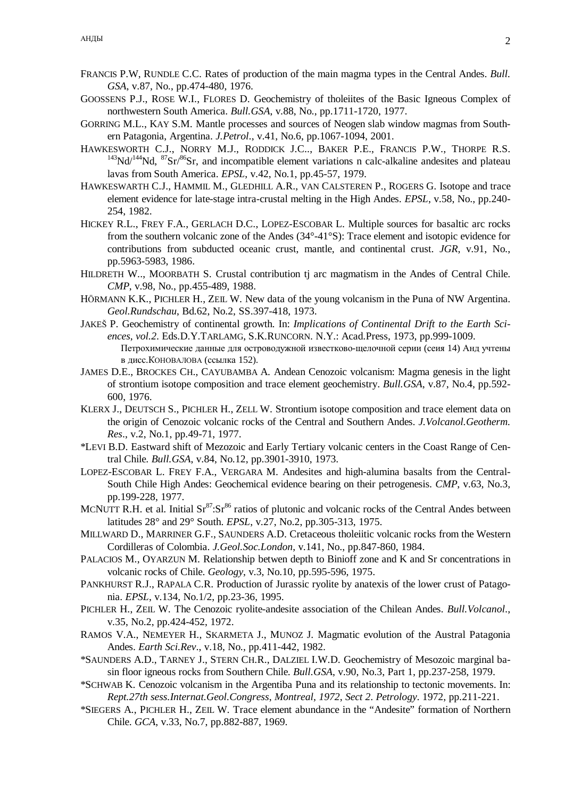- FRANCIS P.W, RUNDLE C.C. Rates of production of the main magma types in the Central Andes. *Bull. GSA*, v.87, No., pp.474-480, 1976.
- GOOSSENS P.J., ROSE W.I., FLORES D. Geochemistry of tholeiites of the Basic Igneous Complex of northwestern South America. *Bull.GSA*, v.88, No., pp.1711-1720, 1977.
- GORRING M.L., KAY S.M. Mantle processes and sources of Neogen slab window magmas from Southern Patagonia, Argentina. *J.Petrol*., v.41, No.6, pp.1067-1094, 2001.
- HAWKESWORTH C.J., NORRY M.J., RODDICK J.C.., BAKER P.E., FRANCIS P.W., THORPE R.S.  $143\text{Nd}$ ,  $144\text{Nd}$ ,  $87\text{Sr}$ ,  $86\text{Sr}$ , and incompatible element variations n calc-alkaline andesites and plateau lavas from South America. *EPSL*, v.42, No.1, pp.45-57, 1979.
- HAWKESWARTH C.J., HAMMIL M., GLEDHILL A.R., VAN CALSTEREN P., ROGERS G. Isotope and trace element evidence for late-stage intra-crustal melting in the High Andes. *EPSL*, v.58, No., pp.240- 254, 1982.
- HICKEY R.L., FREY F.A., GERLACH D.C., LOPEZ-ESCOBAR L. Multiple sources for basaltic arc rocks from the southern volcanic zone of the Andes (34°-41°S): Trace element and isotopic evidence for contributions from subducted oceanic crust, mantle, and continental crust. *JGR*, v.91, No., pp.5963-5983, 1986.
- HILDRETH W.., MOORBATH S. Crustal contribution tj arc magmatism in the Andes of Central Chile. *CMP*, v.98, No., pp.455-489, 1988.
- HÖRMANN K.K., PICHLER H., ZEIL W. New data of the young volcanism in the Puna of NW Argentina. *Geol.Rundschau*, Bd.62, No.2, SS.397-418, 1973.
- JAKEŠ P. Geochemistry of continental growth. In: *Implications of Continental Drift to the Earth Sciences*, *vol.2*. Eds.D.Y.TARLAMG, S.K.RUNCORN. N.Y.: Acad.Press, 1973, pp.999-1009. Петрохимические данные для островодужной известково-щелочной серии (сеия 14) Анд учтены в дисс.КОНОВАЛОВА (ссылка 152).
- JAMES D.E., BROCKES CH., CAYUBAMBA A. Andean Cenozoic volcanism: Magma genesis in the light of strontium isotope composition and trace element geochemistry. *Bull.GSA*, v.87, No.4, pp.592- 600, 1976.
- KLERX J., DEUTSCH S., PICHLER H., ZELL W. Strontium isotope composition and trace element data on the origin of Cenozoic volcanic rocks of the Central and Southern Andes. *J.Volcanol.Geotherm. Res*., v.2, No.1, pp.49-71, 1977.
- \*LEVI B.D. Eastward shift of Mezozoic and Early Tertiary volcanic centers in the Coast Range of Central Chile. *Bull.GSA*, v.84, No.12, pp.3901-3910, 1973.
- LOPEZ-ESCOBAR L. FREY F.A., VERGARA M. Andesites and high-alumina basalts from the Central-South Chile High Andes: Geochemical evidence bearing on their petrogenesis. *CMP*, v.63, No.3, pp.199-228, 1977.
- MCNUTT R.H. et al. Initial  $Sr^{87} : Sr^{86}$  ratios of plutonic and volcanic rocks of the Central Andes between latitudes 28° and 29° South. *EPSL*, v.27, No.2, pp.305-313, 1975.
- MILLWARD D., MARRINER G.F., SAUNDERS A.D. Cretaceous tholeiitic volcanic rocks from the Western Cordilleras of Colombia. *J.Geol.Soc.London*, v.141, No., pp.847-860, 1984.
- PALACIOS M., OYARZUN M. Relationship betwen depth to Binioff zone and K and Sr concentrations in volcanic rocks of Chile. *Geology*, v.3, No.10, pp.595-596, 1975.
- PANKHURST R.J., RAPALA C.R. Production of Jurassic ryolite by anatexis of the lower crust of Patagonia. *EPSL*, v.134, No.1/2, pp.23-36, 1995.
- PICHLER H., ZEIL W. The Cenozoic ryolite-andesite association of the Chilean Andes. *Bull.Volcanol*., v.35, No.2, pp.424-452, 1972.
- RAMOS V.A., NEMEYER H., SKARMETA J., MUNOZ J. Magmatic evolution of the Austral Patagonia Andes. *Earth Sci.Rev*., v.18, No., pp.411-442, 1982.
- \*SAUNDERS A.D., TARNEY J., STERN CH.R., DALZIEL I.W.D. Geochemistry of Mesozoic marginal basin floor igneous rocks from Southern Chile. *Bull.GSA*, v.90, No.3, Part 1, pp.237-258, 1979.
- \*SCHWAB K. Cenozoic volcanism in the Argentiba Puna and its relationship to tectonic movements. In: *Rept.27th sess.Internat.Geol.Congress*, *Montreal*, *1972*, *Sect 2*. *Petrology*. 1972, pp.211-221.
- \*SIEGERS A., PICHLER H., ZEIL W. Trace element abundance in the "Andesite" formation of Northern Chile. *GCA*, v.33, No.7, pp.882-887, 1969.